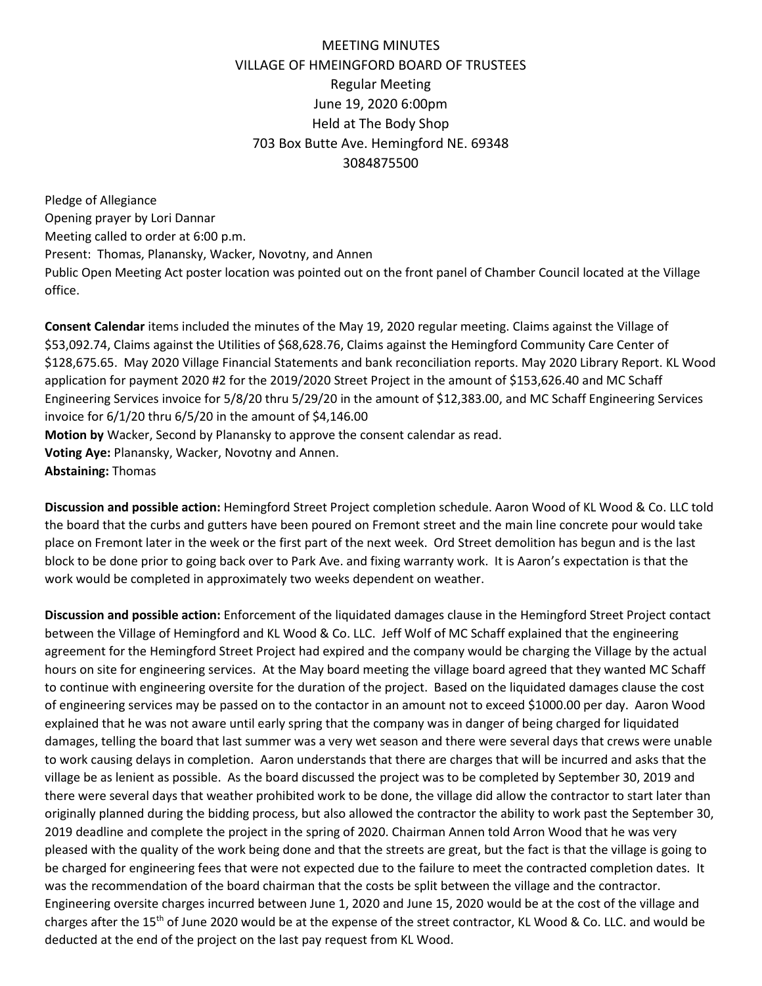## MEETING MINUTES VILLAGE OF HMEINGFORD BOARD OF TRUSTEES Regular Meeting June 19, 2020 6:00pm Held at The Body Shop 703 Box Butte Ave. Hemingford NE. 69348 3084875500

Pledge of Allegiance Opening prayer by Lori Dannar Meeting called to order at 6:00 p.m. Present: Thomas, Planansky, Wacker, Novotny, and Annen Public Open Meeting Act poster location was pointed out on the front panel of Chamber Council located at the Village office.

**Consent Calendar** items included the minutes of the May 19, 2020 regular meeting. Claims against the Village of \$53,092.74, Claims against the Utilities of \$68,628.76, Claims against the Hemingford Community Care Center of \$128,675.65. May 2020 Village Financial Statements and bank reconciliation reports. May 2020 Library Report. KL Wood application for payment 2020 #2 for the 2019/2020 Street Project in the amount of \$153,626.40 and MC Schaff Engineering Services invoice for 5/8/20 thru 5/29/20 in the amount of \$12,383.00, and MC Schaff Engineering Services invoice for 6/1/20 thru 6/5/20 in the amount of \$4,146.00 **Motion by** Wacker, Second by Planansky to approve the consent calendar as read. **Voting Aye:** Planansky, Wacker, Novotny and Annen. **Abstaining:** Thomas

**Discussion and possible action:** Hemingford Street Project completion schedule. Aaron Wood of KL Wood & Co. LLC told the board that the curbs and gutters have been poured on Fremont street and the main line concrete pour would take place on Fremont later in the week or the first part of the next week. Ord Street demolition has begun and is the last block to be done prior to going back over to Park Ave. and fixing warranty work. It is Aaron's expectation is that the work would be completed in approximately two weeks dependent on weather.

**Discussion and possible action:** Enforcement of the liquidated damages clause in the Hemingford Street Project contact between the Village of Hemingford and KL Wood & Co. LLC. Jeff Wolf of MC Schaff explained that the engineering agreement for the Hemingford Street Project had expired and the company would be charging the Village by the actual hours on site for engineering services. At the May board meeting the village board agreed that they wanted MC Schaff to continue with engineering oversite for the duration of the project. Based on the liquidated damages clause the cost of engineering services may be passed on to the contactor in an amount not to exceed \$1000.00 per day. Aaron Wood explained that he was not aware until early spring that the company was in danger of being charged for liquidated damages, telling the board that last summer was a very wet season and there were several days that crews were unable to work causing delays in completion. Aaron understands that there are charges that will be incurred and asks that the village be as lenient as possible. As the board discussed the project was to be completed by September 30, 2019 and there were several days that weather prohibited work to be done, the village did allow the contractor to start later than originally planned during the bidding process, but also allowed the contractor the ability to work past the September 30, 2019 deadline and complete the project in the spring of 2020. Chairman Annen told Arron Wood that he was very pleased with the quality of the work being done and that the streets are great, but the fact is that the village is going to be charged for engineering fees that were not expected due to the failure to meet the contracted completion dates. It was the recommendation of the board chairman that the costs be split between the village and the contractor. Engineering oversite charges incurred between June 1, 2020 and June 15, 2020 would be at the cost of the village and charges after the 15th of June 2020 would be at the expense of the street contractor, KL Wood & Co. LLC. and would be deducted at the end of the project on the last pay request from KL Wood.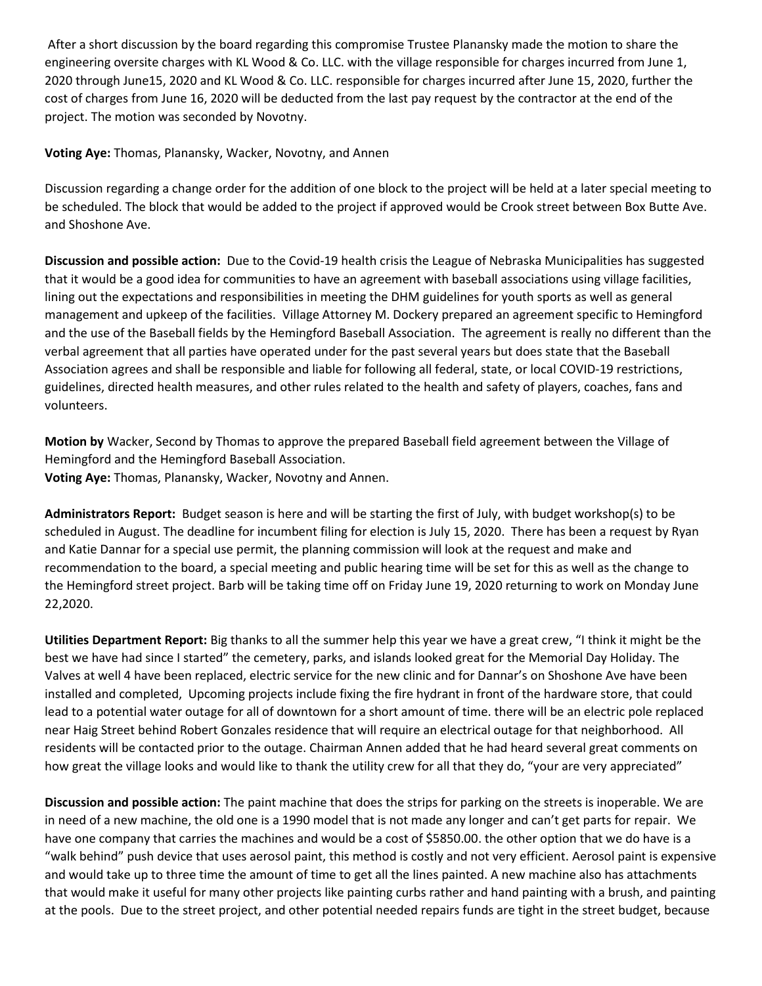After a short discussion by the board regarding this compromise Trustee Planansky made the motion to share the engineering oversite charges with KL Wood & Co. LLC. with the village responsible for charges incurred from June 1, 2020 through June15, 2020 and KL Wood & Co. LLC. responsible for charges incurred after June 15, 2020, further the cost of charges from June 16, 2020 will be deducted from the last pay request by the contractor at the end of the project. The motion was seconded by Novotny.

**Voting Aye:** Thomas, Planansky, Wacker, Novotny, and Annen

Discussion regarding a change order for the addition of one block to the project will be held at a later special meeting to be scheduled. The block that would be added to the project if approved would be Crook street between Box Butte Ave. and Shoshone Ave.

**Discussion and possible action:** Due to the Covid-19 health crisis the League of Nebraska Municipalities has suggested that it would be a good idea for communities to have an agreement with baseball associations using village facilities, lining out the expectations and responsibilities in meeting the DHM guidelines for youth sports as well as general management and upkeep of the facilities. Village Attorney M. Dockery prepared an agreement specific to Hemingford and the use of the Baseball fields by the Hemingford Baseball Association. The agreement is really no different than the verbal agreement that all parties have operated under for the past several years but does state that the Baseball Association agrees and shall be responsible and liable for following all federal, state, or local COVID-19 restrictions, guidelines, directed health measures, and other rules related to the health and safety of players, coaches, fans and volunteers.

**Motion by** Wacker, Second by Thomas to approve the prepared Baseball field agreement between the Village of Hemingford and the Hemingford Baseball Association. **Voting Aye:** Thomas, Planansky, Wacker, Novotny and Annen.

**Administrators Report:** Budget season is here and will be starting the first of July, with budget workshop(s) to be scheduled in August. The deadline for incumbent filing for election is July 15, 2020. There has been a request by Ryan and Katie Dannar for a special use permit, the planning commission will look at the request and make and recommendation to the board, a special meeting and public hearing time will be set for this as well as the change to the Hemingford street project. Barb will be taking time off on Friday June 19, 2020 returning to work on Monday June 22,2020.

**Utilities Department Report:** Big thanks to all the summer help this year we have a great crew, "I think it might be the best we have had since I started" the cemetery, parks, and islands looked great for the Memorial Day Holiday. The Valves at well 4 have been replaced, electric service for the new clinic and for Dannar's on Shoshone Ave have been installed and completed, Upcoming projects include fixing the fire hydrant in front of the hardware store, that could lead to a potential water outage for all of downtown for a short amount of time. there will be an electric pole replaced near Haig Street behind Robert Gonzales residence that will require an electrical outage for that neighborhood. All residents will be contacted prior to the outage. Chairman Annen added that he had heard several great comments on how great the village looks and would like to thank the utility crew for all that they do, "your are very appreciated"

**Discussion and possible action:** The paint machine that does the strips for parking on the streets is inoperable. We are in need of a new machine, the old one is a 1990 model that is not made any longer and can't get parts for repair. We have one company that carries the machines and would be a cost of \$5850.00. the other option that we do have is a "walk behind" push device that uses aerosol paint, this method is costly and not very efficient. Aerosol paint is expensive and would take up to three time the amount of time to get all the lines painted. A new machine also has attachments that would make it useful for many other projects like painting curbs rather and hand painting with a brush, and painting at the pools. Due to the street project, and other potential needed repairs funds are tight in the street budget, because